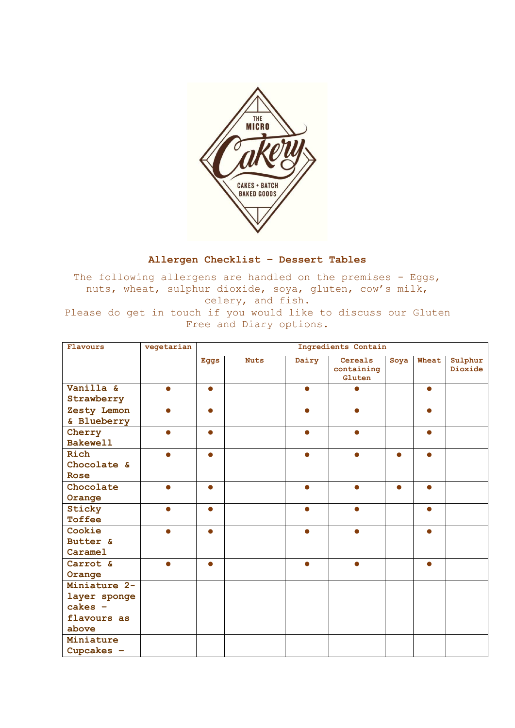

## **Allergen Checklist – Dessert Tables**

The following allergens are handled on the premises - Eggs, nuts, wheat, sulphur dioxide, soya, gluten, cow's milk, celery, and fish. Please do get in touch if you would like to discuss our Gluten Free and Diary options.

| Flavours        | vegetarian | Ingredients Contain |             |           |                                 |           |           |                    |
|-----------------|------------|---------------------|-------------|-----------|---------------------------------|-----------|-----------|--------------------|
|                 |            | Eggs                | <b>Nuts</b> | Dairy     | Cereals<br>containing<br>Gluten | Soya      | Wheat     | Sulphur<br>Dioxide |
| Vanilla &       |            | $\bullet$           |             |           |                                 |           | $\bullet$ |                    |
| Strawberry      |            |                     |             |           |                                 |           |           |                    |
| Zesty Lemon     | $\bullet$  | $\bullet$           |             | $\bullet$ | $\bullet$                       |           | $\bullet$ |                    |
| & Blueberry     |            |                     |             |           |                                 |           |           |                    |
| Cherry          | $\bullet$  | $\bullet$           |             | $\bullet$ | $\bullet$                       |           | $\bullet$ |                    |
| <b>Bakewell</b> |            |                     |             |           |                                 |           |           |                    |
| Rich            | Δ          | $\bullet$           |             | $\bullet$ | $\bullet$                       |           | Δ         |                    |
| Chocolate &     |            |                     |             |           |                                 |           |           |                    |
| Rose            |            |                     |             |           |                                 |           |           |                    |
| Chocolate       | $\bullet$  | $\bullet$           |             | $\bullet$ | $\bullet$                       | $\bullet$ | $\bullet$ |                    |
| Orange          |            |                     |             |           |                                 |           |           |                    |
| Sticky          |            | ●                   |             | ●         | ●                               |           | $\bullet$ |                    |
| Toffee          |            |                     |             |           |                                 |           |           |                    |
| Cookie          |            | Δ                   |             |           |                                 |           |           |                    |
| Butter &        |            |                     |             |           |                                 |           |           |                    |
| Caramel         |            |                     |             |           |                                 |           |           |                    |
| Carrot &        |            |                     |             |           |                                 |           | Δ         |                    |
| Orange          |            |                     |             |           |                                 |           |           |                    |
| Miniature 2-    |            |                     |             |           |                                 |           |           |                    |
| layer sponge    |            |                     |             |           |                                 |           |           |                    |
| $cakes -$       |            |                     |             |           |                                 |           |           |                    |
| flavours as     |            |                     |             |           |                                 |           |           |                    |
| above           |            |                     |             |           |                                 |           |           |                    |
| Miniature       |            |                     |             |           |                                 |           |           |                    |
| Cupcakes $-$    |            |                     |             |           |                                 |           |           |                    |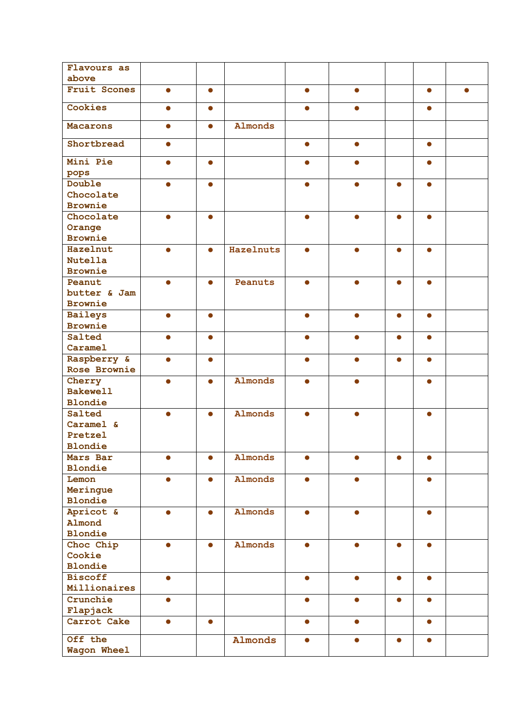| Flavours as         |           |           |                  |           |           |           |           |  |
|---------------------|-----------|-----------|------------------|-----------|-----------|-----------|-----------|--|
| above               |           |           |                  |           |           |           |           |  |
| <b>Fruit Scones</b> | $\bullet$ | $\bullet$ |                  | $\bullet$ | $\bullet$ |           | $\bullet$ |  |
| Cookies             | ●         | 0         |                  | ●         | ●         |           | 0         |  |
| <b>Macarons</b>     | $\bullet$ | $\bullet$ | Almonds          |           |           |           |           |  |
| Shortbread          | $\bullet$ |           |                  | $\bullet$ | $\bullet$ |           | $\bullet$ |  |
| Mini Pie            |           | $\bullet$ |                  |           |           |           | $\bullet$ |  |
| pops<br>Double      |           | $\bullet$ |                  |           |           |           |           |  |
|                     |           |           |                  |           |           |           | $\bullet$ |  |
| Chocolate           |           |           |                  |           |           |           |           |  |
| <b>Brownie</b>      |           |           |                  |           |           |           |           |  |
| Chocolate           |           | Δ         |                  |           |           |           |           |  |
| Orange              |           |           |                  |           |           |           |           |  |
| <b>Brownie</b>      |           |           |                  |           |           |           |           |  |
| Hazelnut            | $\bullet$ | $\bullet$ | <b>Hazelnuts</b> | $\bullet$ | $\bullet$ | $\bullet$ | $\bullet$ |  |
| <b>Nutella</b>      |           |           |                  |           |           |           |           |  |
| <b>Brownie</b>      |           |           |                  |           |           |           |           |  |
| Peanut              | $\bullet$ | $\bullet$ | Peanuts          | $\bullet$ | $\bullet$ | $\bullet$ | $\bullet$ |  |
| butter & Jam        |           |           |                  |           |           |           |           |  |
| <b>Brownie</b>      |           |           |                  |           |           |           |           |  |
| <b>Baileys</b>      | O         | $\bullet$ |                  |           | ●         | $\bullet$ | 0         |  |
| <b>Brownie</b>      |           |           |                  |           |           |           |           |  |
| Salted              | $\bullet$ | $\bullet$ |                  | $\bullet$ | $\bullet$ | $\bullet$ | $\bullet$ |  |
| Caramel             |           |           |                  |           |           |           |           |  |
| Raspberry &         | $\bullet$ | $\bullet$ |                  | $\bullet$ |           | $\bullet$ | $\bullet$ |  |
| Rose Brownie        |           |           |                  |           |           |           |           |  |
| Cherry              | $\bullet$ | $\bullet$ | <b>Almonds</b>   | Ô         |           |           | $\bullet$ |  |
| <b>Bakewell</b>     |           |           |                  |           |           |           |           |  |
| <b>Blondie</b>      |           |           |                  |           |           |           |           |  |
| Salted              |           | $\bullet$ | <b>Almonds</b>   |           | $\bullet$ |           | 0         |  |
| Caramel &           |           |           |                  |           |           |           |           |  |
| Pretzel             |           |           |                  |           |           |           |           |  |
| <b>Blondie</b>      |           |           |                  |           |           |           |           |  |
| Mars Bar            | $\bullet$ | $\bullet$ | Almonds          | $\bullet$ |           |           | $\bullet$ |  |
| <b>Blondie</b>      |           |           |                  |           |           |           |           |  |
| Lemon               | $\bullet$ | $\bullet$ | Almonds          | $\bullet$ | $\bullet$ |           | $\bullet$ |  |
| Meringue            |           |           |                  |           |           |           |           |  |
| <b>Blondie</b>      |           |           |                  |           |           |           |           |  |
| Apricot &           |           |           | <b>Almonds</b>   |           |           |           | ●         |  |
| Almond              |           |           |                  |           |           |           |           |  |
| <b>Blondie</b>      |           |           |                  |           |           |           |           |  |
| Choc Chip           | $\bullet$ | $\bullet$ | Almonds          | $\bullet$ | $\bullet$ | $\bullet$ | $\bullet$ |  |
| Cookie              |           |           |                  |           |           |           |           |  |
| <b>Blondie</b>      |           |           |                  |           |           |           |           |  |
| <b>Biscoff</b>      | $\bullet$ |           |                  | $\bullet$ | $\bullet$ | $\bullet$ | $\bullet$ |  |
| Millionaires        |           |           |                  |           |           |           |           |  |
| Crunchie            |           |           |                  |           | $\bullet$ | $\bullet$ | $\bullet$ |  |
| Flapjack            |           |           |                  |           |           |           |           |  |
| Carrot Cake         | Ο         | $\bullet$ |                  |           | ●         |           | $\bullet$ |  |
| Off the             |           |           | <b>Almonds</b>   | ●         | $\bullet$ | $\bullet$ | $\bullet$ |  |
| Wagon Wheel         |           |           |                  |           |           |           |           |  |